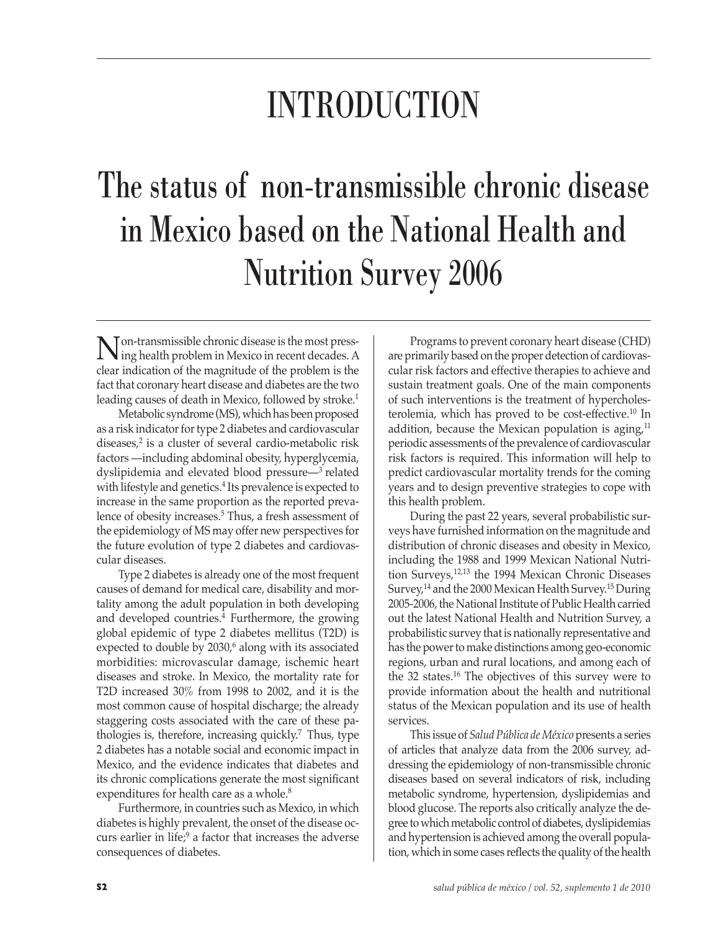## INTRODUCTION

## The status of non-transmissible chronic disease in Mexico based on the National Health and Nutrition Survey 2006

**N** on-transmissible chronic disease is the most press-<br>ing health problem in Mexico in recent decades. A<br>glass indication of the memitude of the maplem is the clear indication of the magnitude of the problem is the fact that coronary heart disease and diabetes are the two leading causes of death in Mexico, followed by stroke.<sup>1</sup>

Metabolic syndrome (MS), which has been proposed as a risk indicator for type 2 diabetes and cardiovascular diseases,<sup>2</sup> is a cluster of several cardio-metabolic risk factors —including abdominal obesity, hyperglycemia, dyslipidemia and elevated blood pressure—3 related with lifestyle and genetics.<sup>4</sup> Its prevalence is expected to increase in the same proportion as the reported prevalence of obesity increases.<sup>5</sup> Thus, a fresh assessment of the epidemiology of MS may offer new perspectives for the future evolution of type 2 diabetes and cardiovascular diseases.

Type 2 diabetes is already one of the most frequent causes of demand for medical care, disability and mortality among the adult population in both developing and developed countries.<sup>4</sup> Furthermore, the growing global epidemic of type 2 diabetes mellitus (T2D) is expected to double by 2030,<sup>6</sup> along with its associated morbidities: microvascular damage, ischemic heart diseases and stroke. In Mexico, the mortality rate for T2D increased 30% from 1998 to 2002, and it is the most common cause of hospital discharge; the already staggering costs associated with the care of these pathologies is, therefore, increasing quickly.<sup>7</sup> Thus, type 2 diabetes has a notable social and economic impact in Mexico, and the evidence indicates that diabetes and its chronic complications generate the most significant expenditures for health care as a whole.<sup>8</sup>

Furthermore, in countries such as Mexico, in which diabetes is highly prevalent, the onset of the disease occurs earlier in life;<sup>9</sup> a factor that increases the adverse consequences of diabetes.

Programs to prevent coronary heart disease (CHD) are primarily based on the proper detection of cardiovascular risk factors and effective therapies to achieve and sustain treatment goals. One of the main components of such interventions is the treatment of hypercholesterolemia, which has proved to be cost-effective.10 In addition, because the Mexican population is aging, $11$ periodic assessments of the prevalence of cardiovascular risk factors is required. This information will help to predict cardiovascular mortality trends for the coming years and to design preventive strategies to cope with this health problem.

During the past 22 years, several probabilistic surveys have furnished information on the magnitude and distribution of chronic diseases and obesity in Mexico, including the 1988 and 1999 Mexican National Nutrition Surveys,12,13 the 1994 Mexican Chronic Diseases Survey,<sup>14</sup> and the 2000 Mexican Health Survey.<sup>15</sup> During 2005-2006, the National Institute of Public Health carried out the latest National Health and Nutrition Survey, a probabilistic survey that is nationally representative and has the power to make distinctions among geo-economic regions, urban and rural locations, and among each of the 32 states.16 The objectives of this survey were to provide information about the health and nutritional status of the Mexican population and its use of health services.

This issue of *Salud Pública de México* presents a series of articles that analyze data from the 2006 survey, addressing the epidemiology of non-transmissible chronic diseases based on several indicators of risk, including metabolic syndrome, hypertension, dyslipidemias and blood glucose. The reports also critically analyze the degree to which metabolic control of diabetes, dyslipidemias and hypertension is achieved among the overall population, which in some cases reflects the quality of the health